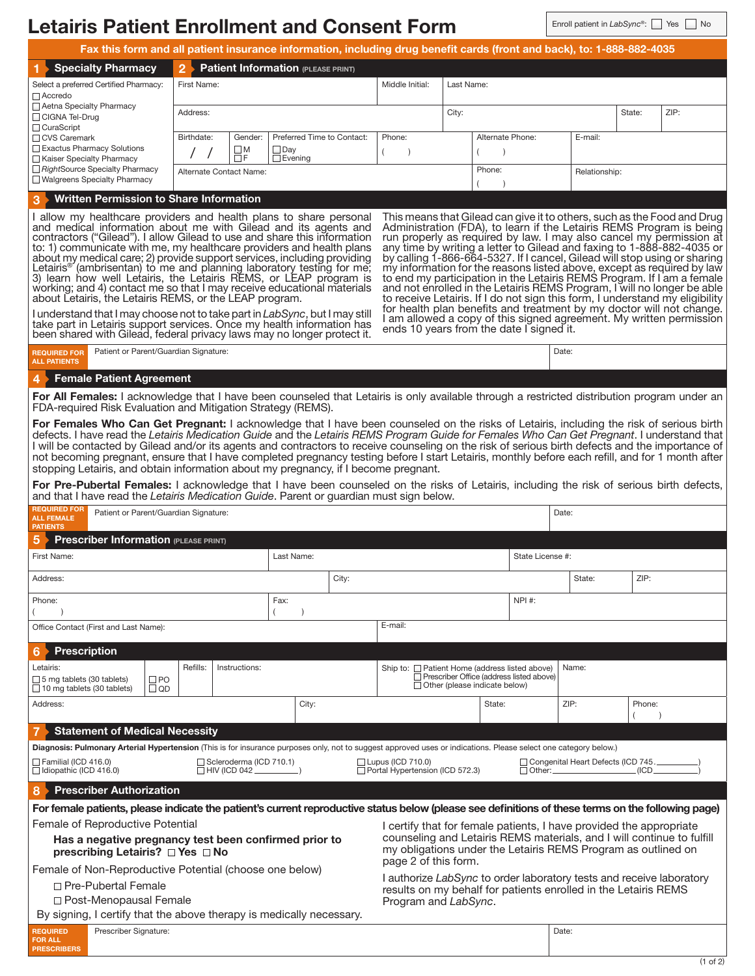| <b>Letairis Patient Enrollment and Consent Form</b>                                                                                                                                                                                                                                                                                                                                                                                                                                                                                                                                                                                                                                                                                                                                                                                                                                                                                                                                                                                                                                                                                                                                                                                                                                                                                                                 |                                                                                                   |  |                                                                                                                        |                               |                  |  | Enroll patient in LabSync®: |        | Yes<br><b>No</b> |  |
|---------------------------------------------------------------------------------------------------------------------------------------------------------------------------------------------------------------------------------------------------------------------------------------------------------------------------------------------------------------------------------------------------------------------------------------------------------------------------------------------------------------------------------------------------------------------------------------------------------------------------------------------------------------------------------------------------------------------------------------------------------------------------------------------------------------------------------------------------------------------------------------------------------------------------------------------------------------------------------------------------------------------------------------------------------------------------------------------------------------------------------------------------------------------------------------------------------------------------------------------------------------------------------------------------------------------------------------------------------------------|---------------------------------------------------------------------------------------------------|--|------------------------------------------------------------------------------------------------------------------------|-------------------------------|------------------|--|-----------------------------|--------|------------------|--|
|                                                                                                                                                                                                                                                                                                                                                                                                                                                                                                                                                                                                                                                                                                                                                                                                                                                                                                                                                                                                                                                                                                                                                                                                                                                                                                                                                                     |                                                                                                   |  | Fax this form and all patient insurance information, including drug benefit cards (front and back), to: 1-888-882-4035 |                               |                  |  |                             |        |                  |  |
| <b>Specialty Pharmacy</b>                                                                                                                                                                                                                                                                                                                                                                                                                                                                                                                                                                                                                                                                                                                                                                                                                                                                                                                                                                                                                                                                                                                                                                                                                                                                                                                                           | $\overline{2}$                                                                                    |  | <b>Patient Information (PLEASE PRINT)</b>                                                                              |                               |                  |  |                             |        |                  |  |
| Select a preferred Certified Pharmacy:<br>Accredo                                                                                                                                                                                                                                                                                                                                                                                                                                                                                                                                                                                                                                                                                                                                                                                                                                                                                                                                                                                                                                                                                                                                                                                                                                                                                                                   | First Name:                                                                                       |  |                                                                                                                        | Middle Initial:<br>Last Name: |                  |  |                             |        |                  |  |
| Aetna Specialty Pharmacy<br>□ CIGNA Tel-Drug<br>□ CuraScript<br>□ CVS Caremark<br>Exactus Pharmacy Solutions<br>Kaiser Specialty Pharmacy<br>RightSource Specialty Pharmacy<br>□ Walgreens Specialty Pharmacy                                                                                                                                                                                                                                                                                                                                                                                                                                                                                                                                                                                                                                                                                                                                                                                                                                                                                                                                                                                                                                                                                                                                                       | Address:                                                                                          |  |                                                                                                                        |                               | City:            |  |                             | State: | ZIP:             |  |
|                                                                                                                                                                                                                                                                                                                                                                                                                                                                                                                                                                                                                                                                                                                                                                                                                                                                                                                                                                                                                                                                                                                                                                                                                                                                                                                                                                     | Birthdate:<br>Gender:<br>Preferred Time to Contact:<br>$\Box_F^M$<br>$\Box$ Day<br>$\Box$ Evening |  |                                                                                                                        | Phone:<br>$\lambda$           | Alternate Phone: |  | E-mail:                     |        |                  |  |
|                                                                                                                                                                                                                                                                                                                                                                                                                                                                                                                                                                                                                                                                                                                                                                                                                                                                                                                                                                                                                                                                                                                                                                                                                                                                                                                                                                     | Alternate Contact Name:                                                                           |  |                                                                                                                        | Phone:                        |                  |  | Relationship:               |        |                  |  |
| <b>Written Permission to Share Information</b>                                                                                                                                                                                                                                                                                                                                                                                                                                                                                                                                                                                                                                                                                                                                                                                                                                                                                                                                                                                                                                                                                                                                                                                                                                                                                                                      |                                                                                                   |  |                                                                                                                        |                               |                  |  |                             |        |                  |  |
| I allow my healthcare providers and health plans to share personal<br>This means that Gilead can give it to others, such as the Food and Drug<br>and medical information about me with Gilead and its agents and<br>Administration (FDA), to learn if the Letairis REMS Program is being<br>contractors ("Gilead"). I allow Gilead to use and share this information<br>run properly as required by law. I may also cancel my permission at<br>to: 1) communicate with me, my healthcare providers and health plans<br>any time by writing a letter to Gilead and faxing to 1-888-882-4035 or<br>by calling 1-866-664-5327. If I cancel, Gilead will stop using or sharing<br>about my medical care; 2) provide support services, including providing<br>Letairis <sup>®</sup> (ambrisentan) to me and planning laboratory testing for me;<br>my information for the reasons listed above, except as required by law<br>3) learn how well Letairis, the Letairis REMS, or LEAP program is<br>to end my participation in the Letairis REMS Program. If I am a female<br>and not enrolled in the Letairis REMS Program, I will no longer be able<br>working; and 4) contact me so that I may receive educational materials<br>about Letairis, the Letairis REMS, or the LEAP program.<br>to receive Letairis. If I do not sign this form, I understand my eligibility |                                                                                                   |  |                                                                                                                        |                               |                  |  |                             |        |                  |  |
| for health plan benefits and treatment by my doctor will not change.<br>I understand that I may choose not to take part in <i>LabSync</i> , but I may still<br>I am allowed a copy of this signed agreement. My written permission<br>take part in Letairis support services. Once my health information has<br>ends 10 years from the date I signed it.<br>been shared with Gilead, federal privacy laws may no longer protect it.                                                                                                                                                                                                                                                                                                                                                                                                                                                                                                                                                                                                                                                                                                                                                                                                                                                                                                                                 |                                                                                                   |  |                                                                                                                        |                               |                  |  |                             |        |                  |  |
| Patient or Parent/Guardian Signature:<br><b>REQUIRED FOR</b><br><b>ALL PATIENTS</b>                                                                                                                                                                                                                                                                                                                                                                                                                                                                                                                                                                                                                                                                                                                                                                                                                                                                                                                                                                                                                                                                                                                                                                                                                                                                                 |                                                                                                   |  |                                                                                                                        |                               |                  |  | Date:                       |        |                  |  |
| <b>Female Patient Agreement</b>                                                                                                                                                                                                                                                                                                                                                                                                                                                                                                                                                                                                                                                                                                                                                                                                                                                                                                                                                                                                                                                                                                                                                                                                                                                                                                                                     |                                                                                                   |  |                                                                                                                        |                               |                  |  |                             |        |                  |  |
| For All Females: I acknowledge that I have been counseled that Letairis is only available through a restricted distribution program under an<br>FDA-required Risk Evaluation and Mitigation Strategy (REMS).                                                                                                                                                                                                                                                                                                                                                                                                                                                                                                                                                                                                                                                                                                                                                                                                                                                                                                                                                                                                                                                                                                                                                        |                                                                                                   |  |                                                                                                                        |                               |                  |  |                             |        |                  |  |
| For Females Who Can Get Pregnant: I acknowledge that I have been counseled on the risks of Letairis, including the risk of serious birth<br>defects. I have read the Letairis Medication Guide and the Letairis REMS Program Guide for Females Who Can Get Pregnant. I understand that<br>I will be contacted by Gilead and/or its agents and contractors to receive counseling on the risk of serious birth defects and the importance of<br>not becoming pregnant, ensure that I have completed pregnancy testing before I start Letairis, monthly before each refill, and for 1 month after<br>stopping Letairis, and obtain information about my pregnancy, if I become pregnant.                                                                                                                                                                                                                                                                                                                                                                                                                                                                                                                                                                                                                                                                               |                                                                                                   |  |                                                                                                                        |                               |                  |  |                             |        |                  |  |
| For Pre-Pubertal Females: I acknowledge that I have been counseled on the risks of Letairis, including the risk of serious birth defects,<br>and that I have read the Letairis Medication Guide. Parent or guardian must sign below.                                                                                                                                                                                                                                                                                                                                                                                                                                                                                                                                                                                                                                                                                                                                                                                                                                                                                                                                                                                                                                                                                                                                |                                                                                                   |  |                                                                                                                        |                               |                  |  |                             |        |                  |  |
| <b>REQUIRED FOR</b><br>Patient or Parent/Guardian Signature:<br><b>ALL FEMALE</b><br><b>PATIENTS</b>                                                                                                                                                                                                                                                                                                                                                                                                                                                                                                                                                                                                                                                                                                                                                                                                                                                                                                                                                                                                                                                                                                                                                                                                                                                                |                                                                                                   |  |                                                                                                                        |                               |                  |  | Date:                       |        |                  |  |
| <b>Proceriber Information</b> (D) EASE DOINTY                                                                                                                                                                                                                                                                                                                                                                                                                                                                                                                                                                                                                                                                                                                                                                                                                                                                                                                                                                                                                                                                                                                                                                                                                                                                                                                       |                                                                                                   |  |                                                                                                                        |                               |                  |  |                             |        |                  |  |

| <b>Prescriber Information (PLEASE PRINT)</b><br>5                                                                                                                                    |                              |          |               |                                                             |                                                                                                                                                                                                                                        |                                                                                                                                                                 |        |                                                              |        |        |  |
|--------------------------------------------------------------------------------------------------------------------------------------------------------------------------------------|------------------------------|----------|---------------|-------------------------------------------------------------|----------------------------------------------------------------------------------------------------------------------------------------------------------------------------------------------------------------------------------------|-----------------------------------------------------------------------------------------------------------------------------------------------------------------|--------|--------------------------------------------------------------|--------|--------|--|
| First Name:                                                                                                                                                                          |                              |          |               | Last Name:                                                  |                                                                                                                                                                                                                                        |                                                                                                                                                                 |        | State License #:                                             |        |        |  |
| Address:                                                                                                                                                                             |                              |          |               | City:                                                       |                                                                                                                                                                                                                                        |                                                                                                                                                                 |        |                                                              | State: | ZIP:   |  |
| Phone:                                                                                                                                                                               |                              |          | Fax:          |                                                             |                                                                                                                                                                                                                                        |                                                                                                                                                                 | NPI #: |                                                              |        |        |  |
| Office Contact (First and Last Name):                                                                                                                                                |                              |          |               | E-mail:                                                     |                                                                                                                                                                                                                                        |                                                                                                                                                                 |        |                                                              |        |        |  |
| <b>Prescription</b><br>6                                                                                                                                                             |                              |          |               |                                                             |                                                                                                                                                                                                                                        |                                                                                                                                                                 |        |                                                              |        |        |  |
| Letairis:<br>5 mg tablets (30 tablets)<br>$\Box$ 10 mg tablets (30 tablets)                                                                                                          | $\square$ PO<br>$\square$ QD | Refills: | Instructions: |                                                             |                                                                                                                                                                                                                                        | Ship to: □ Patient Home (address listed above)<br>Prescriber Office (address listed above)<br>$\Box$ Other (please indicate below)                              |        |                                                              | Name:  |        |  |
| Address:                                                                                                                                                                             |                              |          |               | City:                                                       |                                                                                                                                                                                                                                        |                                                                                                                                                                 | State: |                                                              | ZIP:   | Phone: |  |
| <b>Statement of Medical Necessity</b>                                                                                                                                                |                              |          |               |                                                             |                                                                                                                                                                                                                                        |                                                                                                                                                                 |        |                                                              |        |        |  |
| Diagnosis: Pulmonary Arterial Hypertension (This is for insurance purposes only, not to suggest approved uses or indications. Please select one category below.)                     |                              |          |               |                                                             |                                                                                                                                                                                                                                        |                                                                                                                                                                 |        |                                                              |        |        |  |
| $\Box$ Familial (ICD 416.0)<br>Scleroderma (ICD 710.1)<br>$\Box$ Idiopathic (ICD 416.0)<br>$\Box$ HIV (ICD 042 $\_\_\_\_\_\_\_\$ )                                                   |                              |          |               | $\Box$ Lupus (ICD 710.0)<br>Portal Hypertension (ICD 572.3) |                                                                                                                                                                                                                                        |                                                                                                                                                                 |        | Congenital Heart Defects (ICD 745.<br>I(CD)<br>$\Box$ Other: |        |        |  |
| <b>Prescriber Authorization</b><br>8                                                                                                                                                 |                              |          |               |                                                             |                                                                                                                                                                                                                                        |                                                                                                                                                                 |        |                                                              |        |        |  |
| For female patients, please indicate the patient's current reproductive status below (please see definitions of these terms on the following page)                                   |                              |          |               |                                                             |                                                                                                                                                                                                                                        |                                                                                                                                                                 |        |                                                              |        |        |  |
| Female of Reproductive Potential<br>Has a negative pregnancy test been confirmed prior to<br>prescribing Letairis? $\Box$ Yes $\Box$ No                                              |                              |          |               |                                                             | I certify that for female patients, I have provided the appropriate<br>counseling and Letairis REMS materials, and I will continue to fulfill<br>my obligations under the Letairis REMS Program as outlined on<br>page 2 of this form. |                                                                                                                                                                 |        |                                                              |        |        |  |
| Female of Non-Reproductive Potential (choose one below)<br>□ Pre-Pubertal Female<br>□ Post-Menopausal Female<br>By signing, I certify that the above therapy is medically necessary. |                              |          |               |                                                             |                                                                                                                                                                                                                                        | I authorize LabSync to order laboratory tests and receive laboratory<br>results on my behalf for patients enrolled in the Letairis REMS<br>Program and LabSync. |        |                                                              |        |        |  |
| Prescriber Signature:<br><b>REQUIRED</b><br><b>FOR ALL</b><br><b>PRESCRIBERS</b>                                                                                                     |                              |          |               |                                                             |                                                                                                                                                                                                                                        |                                                                                                                                                                 |        | Date:                                                        |        |        |  |